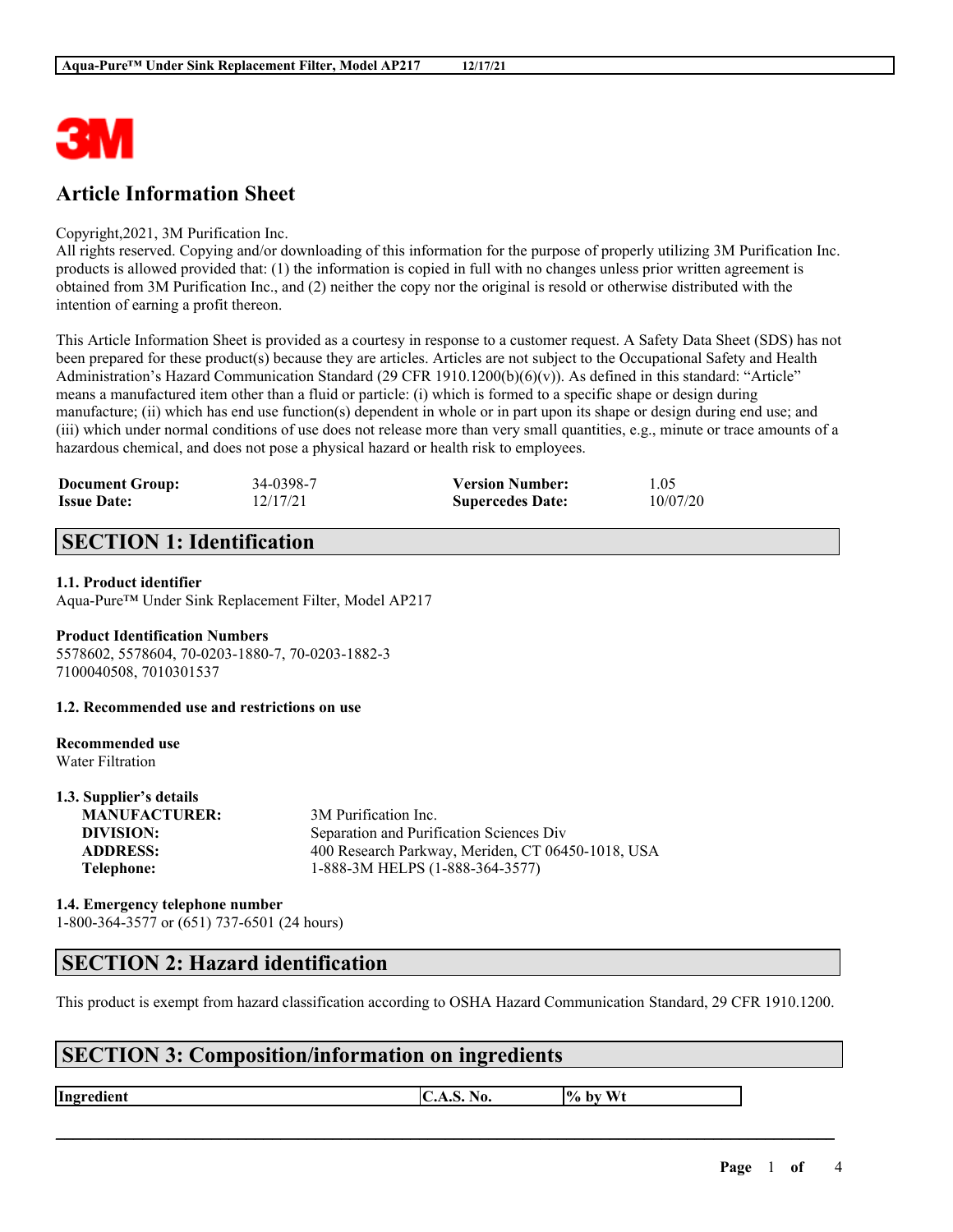

## **Article Information Sheet**

#### Copyright,2021, 3M Purification Inc.

All rights reserved. Copying and/or downloading of this information for the purpose of properly utilizing 3M Purification Inc. products is allowed provided that: (1) the information is copied in full with no changes unless prior written agreement is obtained from 3M Purification Inc., and (2) neither the copy nor the original is resold or otherwise distributed with the intention of earning a profit thereon.

This Article Information Sheet is provided as a courtesy in response to a customer request. A Safety Data Sheet (SDS) has not been prepared for these product(s) because they are articles. Articles are not subject to the Occupational Safety and Health Administration's Hazard Communication Standard (29 CFR 1910.1200(b)(6)(v)). As defined in this standard: "Article" means a manufactured item other than a fluid or particle: (i) which is formed to a specific shape or design during manufacture; (ii) which has end use function(s) dependent in whole or in part upon its shape or design during end use; and (iii) which under normal conditions of use does not release more than very small quantities, e.g., minute or trace amounts of a hazardous chemical, and does not pose a physical hazard or health risk to employees.

| <b>Document Group:</b> | 34-0398-7 | <b>Version Number:</b>  | 1.05     |
|------------------------|-----------|-------------------------|----------|
| <b>Issue Date:</b>     | 12/17/21  | <b>Supercedes Date:</b> | 10/07/20 |

## **SECTION 1: Identification**

### **1.1. Product identifier**

Aqua-Pure™ Under Sink Replacement Filter, Model AP217

#### **Product Identification Numbers** 5578602, 5578604, 70-0203-1880-7, 70-0203-1882-3 7100040508, 7010301537

#### **1.2. Recommended use and restrictions on use**

#### **Recommended use** Water Filtration

**1.3. Supplier's details**

| 1.3. Supplier's details |                                                   |
|-------------------------|---------------------------------------------------|
| <b>MANUFACTURER:</b>    | 3M Purification Inc.                              |
| DIVISION:               | Separation and Purification Sciences Div          |
| <b>ADDRESS:</b>         | 400 Research Parkway, Meriden, CT 06450-1018, USA |
| Telephone:              | 1-888-3M HELPS (1-888-364-3577)                   |
|                         |                                                   |

### **1.4. Emergency telephone number** 1-800-364-3577 or (651) 737-6501 (24 hours)

### **SECTION 2: Hazard identification**

This product is exempt from hazard classification according to OSHA Hazard Communication Standard, 29 CFR 1910.1200.

 $\mathcal{L}_\mathcal{L} = \mathcal{L}_\mathcal{L} = \mathcal{L}_\mathcal{L} = \mathcal{L}_\mathcal{L} = \mathcal{L}_\mathcal{L} = \mathcal{L}_\mathcal{L} = \mathcal{L}_\mathcal{L} = \mathcal{L}_\mathcal{L} = \mathcal{L}_\mathcal{L} = \mathcal{L}_\mathcal{L} = \mathcal{L}_\mathcal{L} = \mathcal{L}_\mathcal{L} = \mathcal{L}_\mathcal{L} = \mathcal{L}_\mathcal{L} = \mathcal{L}_\mathcal{L} = \mathcal{L}_\mathcal{L} = \mathcal{L}_\mathcal{L}$ 

## **SECTION 3: Composition/information on ingredients**

**Ingredient C.A.S.** No.  $\begin{bmatrix} \phi & \phi \end{bmatrix}$  by Wt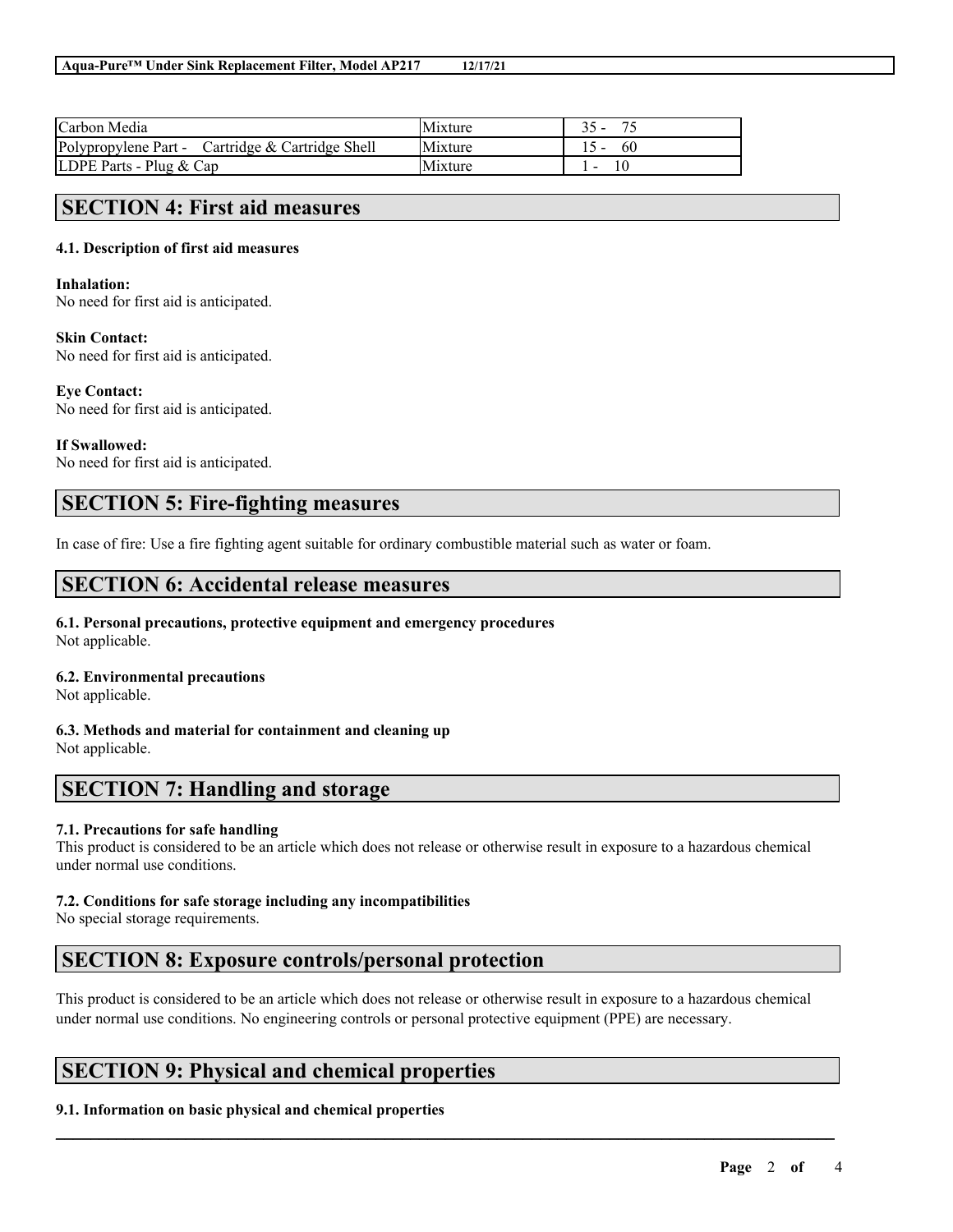| Carbon Media                                     | <b>Mixture</b> |           |
|--------------------------------------------------|----------------|-----------|
| Polypropylene Part - Cartridge & Cartridge Shell | Mixture        | $15 - 60$ |
| LDPE Parts - Plug $& Cap$                        | Mixture        |           |

### **SECTION 4: First aid measures**

### **4.1. Description of first aid measures**

### **Inhalation:**

No need for first aid is anticipated.

### **Skin Contact:**

No need for first aid is anticipated.

#### **Eye Contact:**

No need for first aid is anticipated.

### **If Swallowed:**

No need for first aid is anticipated.

## **SECTION 5: Fire-fighting measures**

In case of fire: Use a fire fighting agent suitable for ordinary combustible material such as water or foam.

### **SECTION 6: Accidental release measures**

### **6.1. Personal precautions, protective equipment and emergency procedures** Not applicable.

### **6.2. Environmental precautions**

Not applicable.

**6.3. Methods and material for containment and cleaning up** Not applicable.

### **SECTION 7: Handling and storage**

### **7.1. Precautions for safe handling**

This product is considered to be an article which does not release or otherwise result in exposure to a hazardous chemical under normal use conditions.

### **7.2. Conditions for safe storage including any incompatibilities**

No special storage requirements.

### **SECTION 8: Exposure controls/personal protection**

This product is considered to be an article which does not release or otherwise result in exposure to a hazardous chemical under normal use conditions. No engineering controls or personal protective equipment (PPE) are necessary.

 $\mathcal{L}_\mathcal{L} = \mathcal{L}_\mathcal{L} = \mathcal{L}_\mathcal{L} = \mathcal{L}_\mathcal{L} = \mathcal{L}_\mathcal{L} = \mathcal{L}_\mathcal{L} = \mathcal{L}_\mathcal{L} = \mathcal{L}_\mathcal{L} = \mathcal{L}_\mathcal{L} = \mathcal{L}_\mathcal{L} = \mathcal{L}_\mathcal{L} = \mathcal{L}_\mathcal{L} = \mathcal{L}_\mathcal{L} = \mathcal{L}_\mathcal{L} = \mathcal{L}_\mathcal{L} = \mathcal{L}_\mathcal{L} = \mathcal{L}_\mathcal{L}$ 

## **SECTION 9: Physical and chemical properties**

### **9.1. Information on basic physical and chemical properties**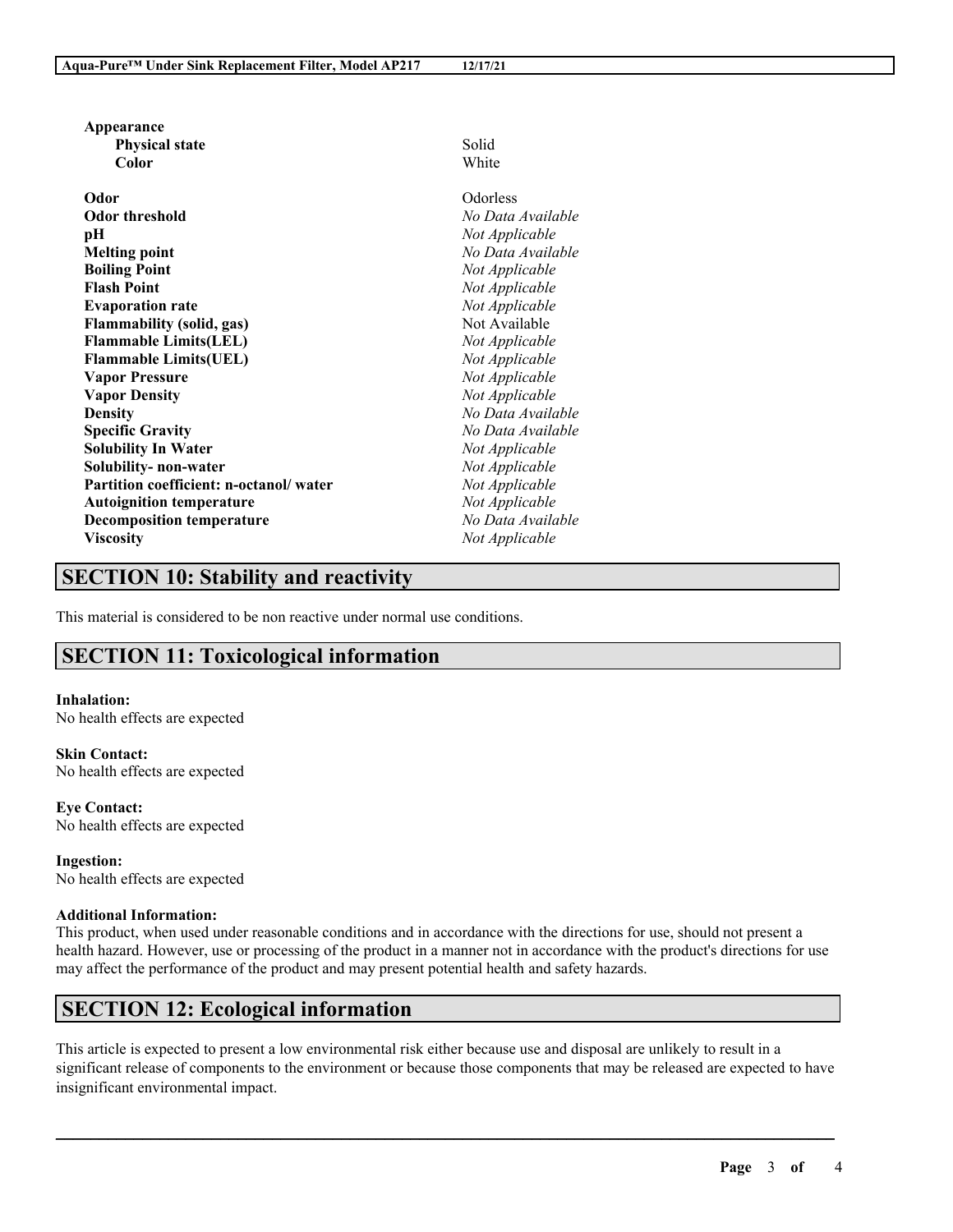| <b>Physical state</b>                  | Solid             |
|----------------------------------------|-------------------|
| Color                                  | White             |
|                                        |                   |
| Odor                                   | Odorless          |
| <b>Odor threshold</b>                  | No Data Available |
| pН                                     | Not Applicable    |
| <b>Melting point</b>                   | No Data Available |
| <b>Boiling Point</b>                   | Not Applicable    |
| <b>Flash Point</b>                     | Not Applicable    |
| <b>Evaporation rate</b>                | Not Applicable    |
| <b>Flammability (solid, gas)</b>       | Not Available     |
| <b>Flammable Limits(LEL)</b>           | Not Applicable    |
| <b>Flammable Limits(UEL)</b>           | Not Applicable    |
| <b>Vapor Pressure</b>                  | Not Applicable    |
| <b>Vapor Density</b>                   | Not Applicable    |
| <b>Density</b>                         | No Data Available |
| <b>Specific Gravity</b>                | No Data Available |
| <b>Solubility In Water</b>             | Not Applicable    |
| Solubility- non-water                  | Not Applicable    |
| Partition coefficient: n-octanol/water | Not Applicable    |
| <b>Autoignition temperature</b>        | Not Applicable    |
| <b>Decomposition temperature</b>       | No Data Available |
| <b>Viscosity</b>                       | Not Applicable    |

# **SECTION 10: Stability and reactivity**

This material is considered to be non reactive under normal use conditions.

# **SECTION 11: Toxicological information**

**Inhalation:** No health effects are expected

**Appearance**

**Skin Contact:** No health effects are expected

**Eye Contact:** No health effects are expected

**Ingestion:** No health effects are expected

### **Additional Information:**

This product, when used under reasonable conditions and in accordance with the directions for use, should not present a health hazard. However, use or processing of the product in a manner not in accordance with the product's directions for use may affect the performance of the product and may present potential health and safety hazards.

## **SECTION 12: Ecological information**

This article is expected to present a low environmental risk either because use and disposal are unlikely to result in a significant release of components to the environment or because those components that may be released are expected to have insignificant environmental impact.

 $\mathcal{L}_\mathcal{L} = \mathcal{L}_\mathcal{L} = \mathcal{L}_\mathcal{L} = \mathcal{L}_\mathcal{L} = \mathcal{L}_\mathcal{L} = \mathcal{L}_\mathcal{L} = \mathcal{L}_\mathcal{L} = \mathcal{L}_\mathcal{L} = \mathcal{L}_\mathcal{L} = \mathcal{L}_\mathcal{L} = \mathcal{L}_\mathcal{L} = \mathcal{L}_\mathcal{L} = \mathcal{L}_\mathcal{L} = \mathcal{L}_\mathcal{L} = \mathcal{L}_\mathcal{L} = \mathcal{L}_\mathcal{L} = \mathcal{L}_\mathcal{L}$